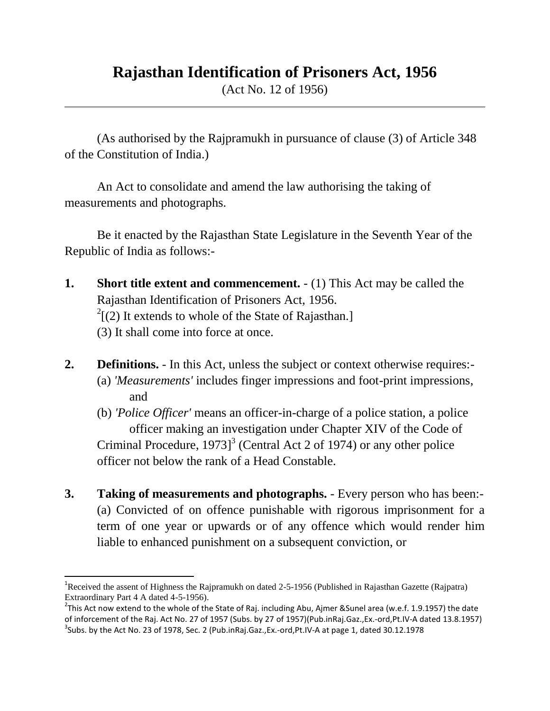## **Rajasthan Identification of Prisoners Act, 1956**

(Act No. 12 of 1956)

(As authorised by the Rajpramukh in pursuance of clause (3) of Article 348 of the Constitution of India.)

An Act to consolidate and amend the law authorising the taking of measurements and photographs.

Be it enacted by the Rajasthan State Legislature in the Seventh Year of the Republic of India as follows:-

- **1. Short title extent and commencement.** (1) This Act may be called the Rajasthan Identification of Prisoners Act, 1956.  $2^2$ [(2) It extends to whole of the State of Rajasthan.] (3) It shall come into force at once.
- **2. Definitions.** In this Act, unless the subject or context otherwise requires:- (a) *'Measurements'* includes finger impressions and foot-print impressions, and
	- (b) *'Police Officer'* means an officer-in-charge of a police station, a police officer making an investigation under Chapter XIV of the Code of Criminal Procedure,  $1973$ <sup>3</sup> (Central Act 2 of 1974) or any other police officer not below the rank of a Head Constable.
- **3. Taking of measurements and photographs.** Every person who has been:- (a) Convicted of on offence punishable with rigorous imprisonment for a term of one year or upwards or of any offence which would render him liable to enhanced punishment on a subsequent conviction, or

 $\overline{a}$ 

<sup>&</sup>lt;sup>1</sup>Received the assent of Highness the Rajpramukh on dated 2-5-1956 (Published in Rajasthan Gazette (Rajpatra) Extraordinary Part 4 A dated 4-5-1956).

<sup>&</sup>lt;sup>2</sup>This Act now extend to the whole of the State of Raj. including Abu, Ajmer &Sunel area (w.e.f. 1.9.1957) the date of inforcement of the Raj. Act No. 27 of 1957 (Subs. by 27 of 1957)(Pub.inRaj.Gaz.,Ex.-ord,Pt.IV-A dated 13.8.1957)  $^3$ Subs. by the Act No. 23 of 1978, Sec. 2 (Pub.inRaj.Gaz.,Ex.-ord,Pt.IV-A at page 1, dated 30.12.1978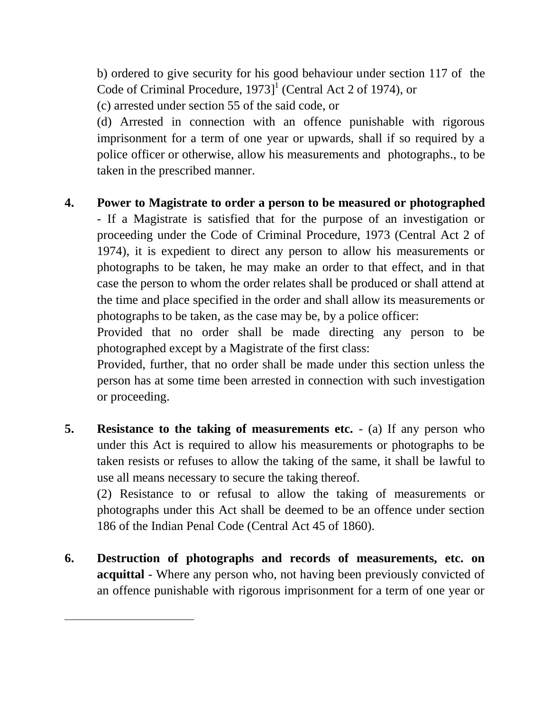b) ordered to give security for his good behaviour under section 117 of the Code of Criminal Procedure, 1973]<sup>1</sup> (Central Act 2 of 1974), or

(c) arrested under section 55 of the said code, or

(d) Arrested in connection with an offence punishable with rigorous imprisonment for a term of one year or upwards, shall if so required by a police officer or otherwise, allow his measurements and photographs., to be taken in the prescribed manner.

## **4. Power to Magistrate to order a person to be measured or photographed**

- If a Magistrate is satisfied that for the purpose of an investigation or proceeding under the Code of Criminal Procedure, 1973 (Central Act 2 of 1974), it is expedient to direct any person to allow his measurements or photographs to be taken, he may make an order to that effect, and in that case the person to whom the order relates shall be produced or shall attend at the time and place specified in the order and shall allow its measurements or photographs to be taken, as the case may be, by a police officer:

Provided that no order shall be made directing any person to be photographed except by a Magistrate of the first class:

Provided, further, that no order shall be made under this section unless the person has at some time been arrested in connection with such investigation or proceeding.

**5. Resistance to the taking of measurements etc.** - (a) If any person who under this Act is required to allow his measurements or photographs to be taken resists or refuses to allow the taking of the same, it shall be lawful to use all means necessary to secure the taking thereof.

(2) Resistance to or refusal to allow the taking of measurements or photographs under this Act shall be deemed to be an offence under section 186 of the Indian Penal Code (Central Act 45 of 1860).

**6. Destruction of photographs and records of measurements, etc. on acquittal** - Where any person who, not having been previously convicted of an offence punishable with rigorous imprisonment for a term of one year or

l